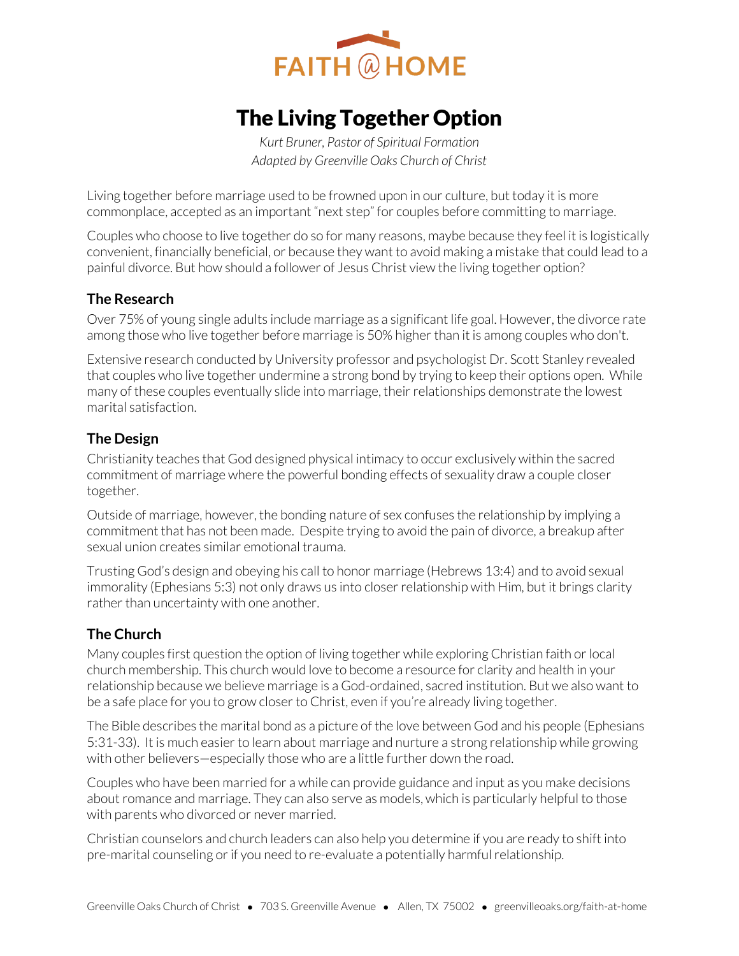

# The Living Together Option

*Kurt Bruner, Pastor of Spiritual Formation Adapted by Greenville Oaks Church of Christ* 

Living together before marriage used to be frowned upon in our culture, but today it is more commonplace, accepted as an important "next step" for couples before committing to marriage.

Couples who choose to live together do so for many reasons, maybe because they feel it is logistically convenient, financially beneficial, or because they want to avoid making a mistake that could lead to a painful divorce. But how should a follower of Jesus Christ view the living together option?

#### **The Research**

Over 75% of young single adults include marriage as a significant life goal. However, the divorce rate among those who live together before marriage is 50% higher than it is among couples who don't.

Extensive research conducted by University professor and psychologist Dr. Scott Stanley revealed that couples who live together undermine a strong bond by trying to keep their options open. While many of these couples eventually slide into marriage, their relationships demonstrate the lowest marital satisfaction.

### **The Design**

Christianity teaches that God designed physical intimacy to occur exclusively within the sacred commitment of marriage where the powerful bonding effects of sexuality draw a couple closer together.

Outside of marriage, however, the bonding nature of sex confuses the relationship by implying a commitment that has not been made. Despite trying to avoid the pain of divorce, a breakup after sexual union creates similar emotional trauma.

Trusting God's design and obeying his call to honor marriage (Hebrews 13:4) and to avoid sexual immorality (Ephesians 5:3) not only draws us into closer relationship with Him, but it brings clarity rather than uncertainty with one another.

### **The Church**

Many couples first question the option of living together while exploring Christian faith or local church membership. This church would love to become a resource for clarity and health in your relationship because we believe marriage is a God-ordained, sacred institution. But we also want to be a safe place for you to grow closer to Christ, even if you're already living together.

The Bible describes the marital bond as a picture of the love between God and his people (Ephesians 5:31-33). It is much easier to learn about marriage and nurture a strong relationship while growing with other believers—especially those who are a little further down the road.

Couples who have been married for a while can provide guidance and input as you make decisions about romance and marriage. They can also serve as models, which is particularly helpful to those with parents who divorced or never married.

Christian counselors and church leaders can also help you determine if you are ready to shift into pre-marital counseling or if you need to re-evaluate a potentially harmful relationship.